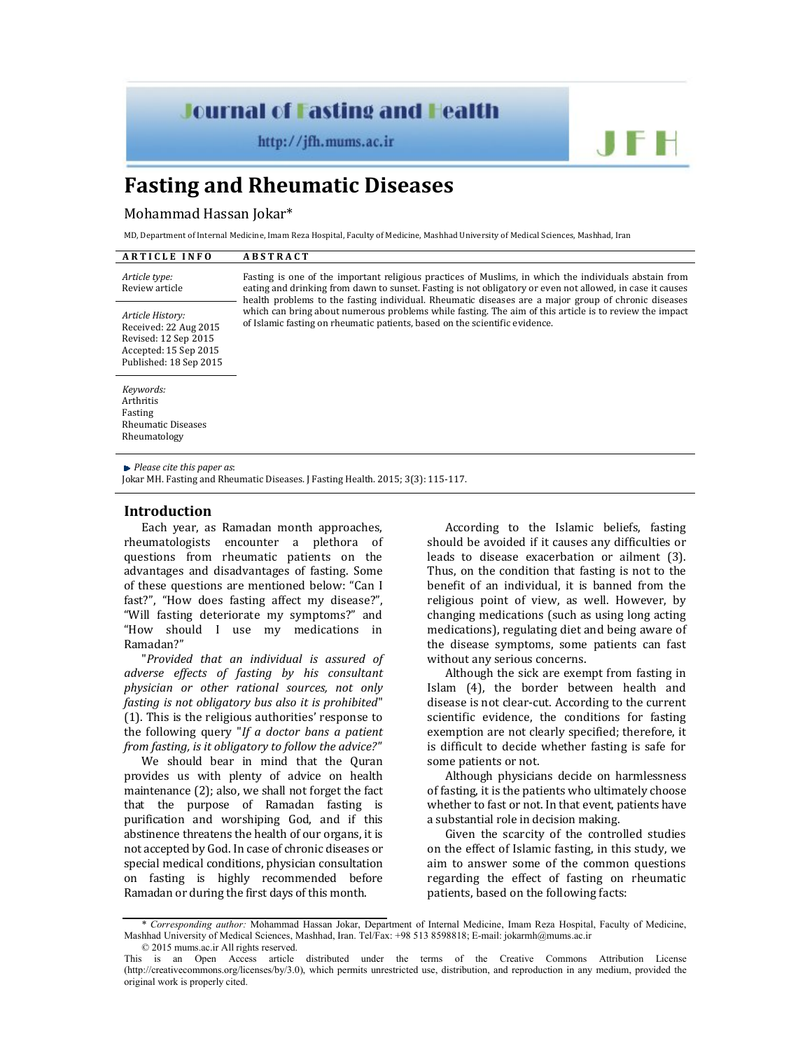# **Journal of Fasting and Health**

http://jfh.mums.ac.ir

# **Fasting and Rheumatic Diseases**

#### Mohammad Hassan Jokar\*

MD, Department of Internal Medicine, Imam Reza Hospital, Faculty of Medicine, Mashhad University of Medical Sciences, Mashhad, Iran

| <b>ARTICLE INFO</b>                                                                                                  | <b>ABSTRACT</b>                                                                                                                                                                                                                                                                                                                                                                                                                                                                                                    |
|----------------------------------------------------------------------------------------------------------------------|--------------------------------------------------------------------------------------------------------------------------------------------------------------------------------------------------------------------------------------------------------------------------------------------------------------------------------------------------------------------------------------------------------------------------------------------------------------------------------------------------------------------|
| Article type:<br>Review article                                                                                      | Fasting is one of the important religious practices of Muslims, in which the individuals abstain from<br>eating and drinking from dawn to sunset. Fasting is not obligatory or even not allowed, in case it causes<br>health problems to the fasting individual. Rheumatic diseases are a major group of chronic diseases<br>which can bring about numerous problems while fasting. The aim of this article is to review the impact<br>of Islamic fasting on rheumatic patients, based on the scientific evidence. |
| Article History:<br>Received: 22 Aug 2015<br>Revised: 12 Sep 2015<br>Accepted: 15 Sep 2015<br>Published: 18 Sep 2015 |                                                                                                                                                                                                                                                                                                                                                                                                                                                                                                                    |
| Keywords:<br>Arthritis<br>Fasting<br><b>Rheumatic Diseases</b><br>Rheumatology                                       |                                                                                                                                                                                                                                                                                                                                                                                                                                                                                                                    |

*Please cite this paper as*:

Jokar MH. Fasting and Rheumatic Diseases. J Fasting Health. 2015; 3(3): 115-117.

## **Introduction**

Each year, as Ramadan month approaches, rheumatologists encounter a plethora of questions from rheumatic patients on the advantages and disadvantages of fasting. Some of these questions are mentioned below: "Can I fast?", "How does fasting affect my disease?", "Will fasting deteriorate my symptoms?" and "How should I use my medications in Ramadan?"

"*Provided that an individual is assured of adverse effects of fasting by his consultant physician or other rational sources, not only fasting is not obligatory bus also it is prohibited*" (1). This is the religious authorities' response to the following query "*If a doctor bans a patient from fasting, is it obligatory to follow the advice?"*

We should bear in mind that the Quran provides us with plenty of advice on health maintenance (2); also, we shall not forget the fact that the purpose of Ramadan fasting is purification and worshiping God, and if this abstinence threatens the health of our organs, it is not accepted by God. In case of chronic diseases or special medical conditions, physician consultation on fasting is highly recommended before Ramadan or during the first days of this month.

According to the Islamic beliefs, fasting should be avoided if it causes any difficulties or leads to disease exacerbation or ailment (3). Thus, on the condition that fasting is not to the benefit of an individual, it is banned from the religious point of view, as well. However, by changing medications (such as using long acting medications), regulating diet and being aware of the disease symptoms, some patients can fast without any serious concerns.

JF H

Although the sick are exempt from fasting in Islam (4), the border between health and disease is not clear-cut. According to the current scientific evidence, the conditions for fasting exemption are not clearly specified; therefore, it is difficult to decide whether fasting is safe for some patients or not.

Although physicians decide on harmlessness of fasting, it is the patients who ultimately choose whether to fast or not. In that event, patients have a substantial role in decision making.

Given the scarcity of the controlled studies on the effect of Islamic fasting, in this study, we aim to answer some of the common questions regarding the effect of fasting on rheumatic patients, based on the following facts:

<sup>\*</sup> *Corresponding author:* Mohammad Hassan Jokar, Department of Internal Medicine, Imam Reza Hospital, Faculty of Medicine, Mashhad University of Medical Sciences, Mashhad, Iran. Tel/Fax: +98 513 8598818; E-mail: jokarmh@mums.ac.ir © 2015 mums.ac.ir All rights reserved.

This is an Open Access article distributed under the terms of the Creative Commons Attribution License (http://creativecommons.org/licenses/by/3.0), which permits unrestricted use, distribution, and reproduction in any medium, provided the original work is properly cited.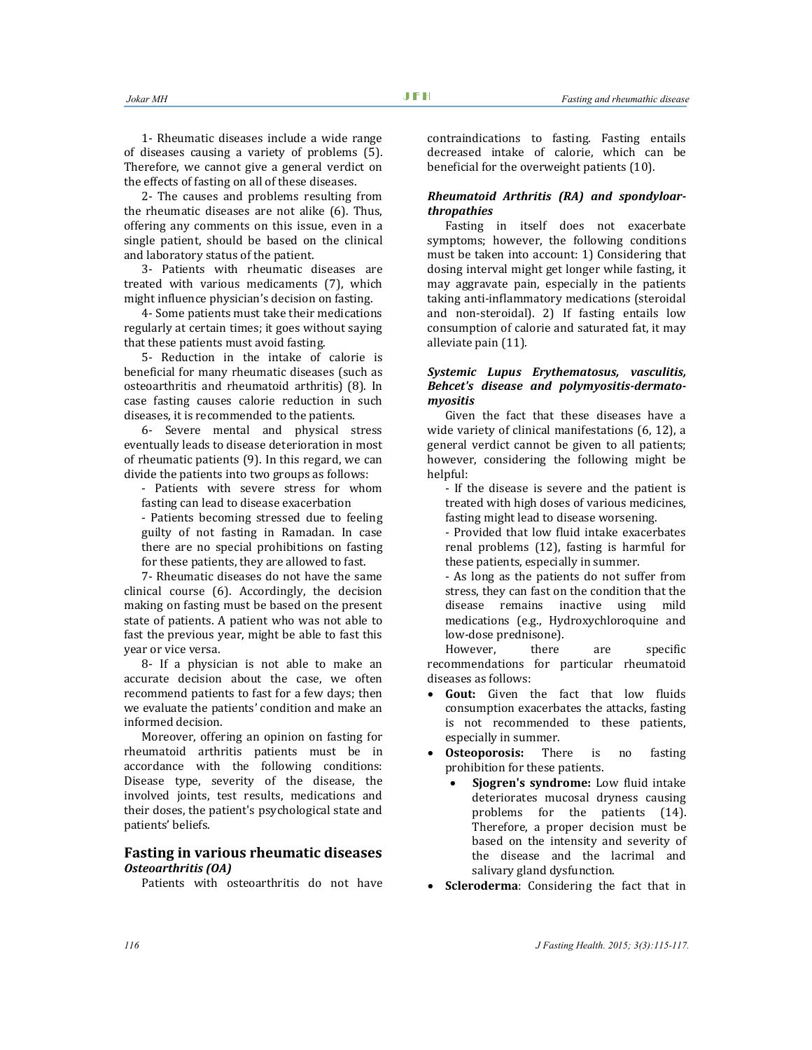1- Rheumatic diseases include a wide range of diseases causing a variety of problems (5). Therefore, we cannot give a general verdict on the effects of fasting on all of these diseases.

2- The causes and problems resulting from the rheumatic diseases are not alike (6). Thus, offering any comments on this issue, even in a single patient, should be based on the clinical and laboratory status of the patient.

3- Patients with rheumatic diseases are treated with various medicaments (7), which might influence physician's decision on fasting.

4- Some patients must take their medications regularly at certain times; it goes without saying that these patients must avoid fasting.

5- Reduction in the intake of calorie is beneficial for many rheumatic diseases (such as osteoarthritis and rheumatoid arthritis) (8). In case fasting causes calorie reduction in such diseases, it is recommended to the patients.

6- Severe mental and physical stress eventually leads to disease deterioration in most of rheumatic patients (9). In this regard, we can divide the patients into two groups as follows:

- Patients with severe stress for whom fasting can lead to disease exacerbation

- Patients becoming stressed due to feeling guilty of not fasting in Ramadan. In case there are no special prohibitions on fasting for these patients, they are allowed to fast.

7- Rheumatic diseases do not have the same clinical course (6). Accordingly, the decision making on fasting must be based on the present state of patients. A patient who was not able to fast the previous year, might be able to fast this year or vice versa.

8- If a physician is not able to make an accurate decision about the case, we often recommend patients to fast for a few days; then we evaluate the patients' condition and make an informed decision.

Moreover, offering an opinion on fasting for rheumatoid arthritis patients must be in accordance with the following conditions: Disease type, severity of the disease, the involved joints, test results, medications and their doses, the patient's psychological state and patients' beliefs.

## **Fasting in various rheumatic diseases** *Osteoarthritis (OA)*

Patients with osteoarthritis do not have

contraindications to fasting. Fasting entails decreased intake of calorie, which can be beneficial for the overweight patients (10).

## *Rheumatoid Arthritis (RA) and spondyloarthropathies*

Fasting in itself does not exacerbate symptoms; however, the following conditions must be taken into account: 1) Considering that dosing interval might get longer while fasting, it may aggravate pain, especially in the patients taking anti-inflammatory medications (steroidal and non-steroidal). 2) If fasting entails low consumption of calorie and saturated fat, it may alleviate pain (11).

## *Systemic Lupus Erythematosus, vasculitis, Behcet's disease and polymyositis-dermatomyositis*

Given the fact that these diseases have a wide variety of clinical manifestations (6, 12), a general verdict cannot be given to all patients; however, considering the following might be helpful:

- If the disease is severe and the patient is treated with high doses of various medicines, fasting might lead to disease worsening.

- Provided that low fluid intake exacerbates renal problems (12), fasting is harmful for these patients, especially in summer.

- As long as the patients do not suffer from stress, they can fast on the condition that the disease remains inactive using mild medications (e.g., Hydroxychloroquine and low-dose prednisone).

However, there are specific recommendations for particular rheumatoid diseases as follows:

- **Gout:** Given the fact that low fluids consumption exacerbates the attacks, fasting is not recommended to these patients, especially in summer.
- **Osteoporosis:** There is no fasting prohibition for these patients.
	- **Sjogren's syndrome:** Low fluid intake deteriorates mucosal dryness causing problems for the patients (14). Therefore, a proper decision must be based on the intensity and severity of the disease and the lacrimal and salivary gland dysfunction.
- **Scleroderma**: Considering the fact that in